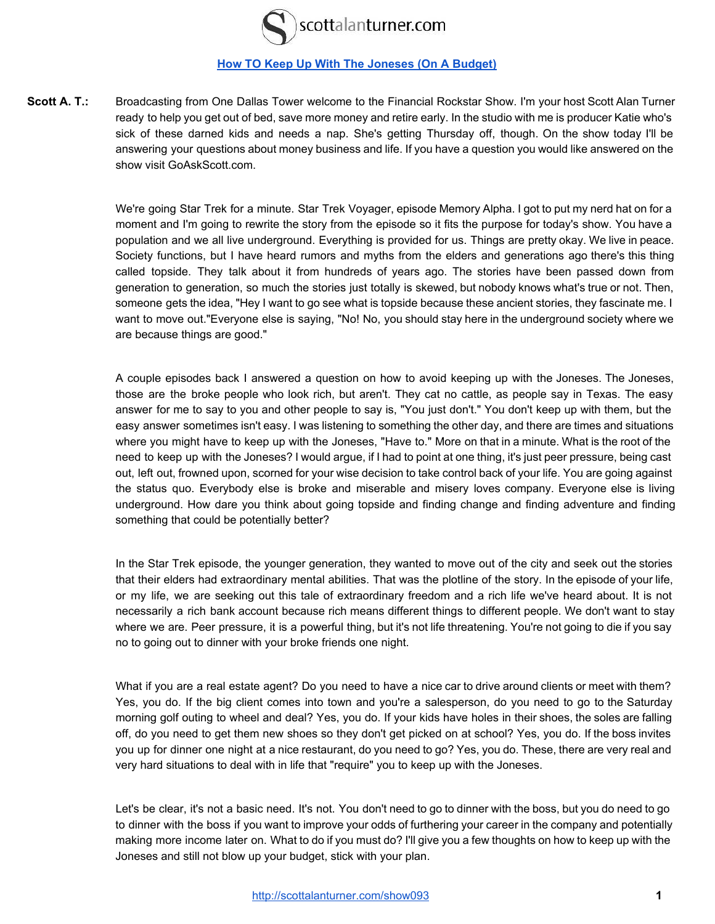

## **[How TO Keep Up With The Joneses \(On A Budget\)](http://scottalanturner.com/show093)**

**Scott A. T.:** Broadcasting from One Dallas Tower welcome to the Financial Rockstar Show. I'm your host Scott Alan Turner ready to help you get out of bed, save more money and retire early. In the studio with me is producer Katie who's sick of these darned kids and needs a nap. She's getting Thursday off, though. On the show today I'll be answering your questions about money business and life. If you have a question you would like answered on the show visit GoAskScott.com.

> We're going Star Trek for a minute. Star Trek Voyager, episode Memory Alpha. I got to put my nerd hat on for a moment and I'm going to rewrite the story from the episode so it fits the purpose for today's show. You have a population and we all live underground. Everything is provided for us. Things are pretty okay. We live in peace. Society functions, but I have heard rumors and myths from the elders and generations ago there's this thing called topside. They talk about it from hundreds of years ago. The stories have been passed down from generation to generation, so much the stories just totally is skewed, but nobody knows what's true or not. Then, someone gets the idea, "Hey I want to go see what is topside because these ancient stories, they fascinate me. I want to move out."Everyone else is saying, "No! No, you should stay here in the underground society where we are because things are good."

> A couple episodes back I answered a question on how to avoid keeping up with the Joneses. The Joneses, those are the broke people who look rich, but aren't. They cat no cattle, as people say in Texas. The easy answer for me to say to you and other people to say is, "You just don't." You don't keep up with them, but the easy answer sometimes isn't easy. I was listening to something the other day, and there are times and situations where you might have to keep up with the Joneses, "Have to." More on that in a minute. What is the root of the need to keep up with the Joneses? I would argue, if I had to point at one thing, it's just peer pressure, being cast out, left out, frowned upon, scorned for your wise decision to take control back of your life. You are going against the status quo. Everybody else is broke and miserable and misery loves company. Everyone else is living underground. How dare you think about going topside and finding change and finding adventure and finding something that could be potentially better?

> In the Star Trek episode, the younger generation, they wanted to move out of the city and seek out the stories that their elders had extraordinary mental abilities. That was the plotline of the story. In the episode of your life, or my life, we are seeking out this tale of extraordinary freedom and a rich life we've heard about. It is not necessarily a rich bank account because rich means different things to different people. We don't want to stay where we are. Peer pressure, it is a powerful thing, but it's not life threatening. You're not going to die if you say no to going out to dinner with your broke friends one night.

> What if you are a real estate agent? Do you need to have a nice car to drive around clients or meet with them? Yes, you do. If the big client comes into town and you're a salesperson, do you need to go to the Saturday morning golf outing to wheel and deal? Yes, you do. If your kids have holes in their shoes, the soles are falling off, do you need to get them new shoes so they don't get picked on at school? Yes, you do. If the boss invites you up for dinner one night at a nice restaurant, do you need to go? Yes, you do. These, there are very real and very hard situations to deal with in life that "require" you to keep up with the Joneses.

> Let's be clear, it's not a basic need. It's not. You don't need to go to dinner with the boss, but you do need to go to dinner with the boss if you want to improve your odds of furthering your career in the company and potentially making more income later on. What to do if you must do? I'll give you a few thoughts on how to keep up with the Joneses and still not blow up your budget, stick with your plan.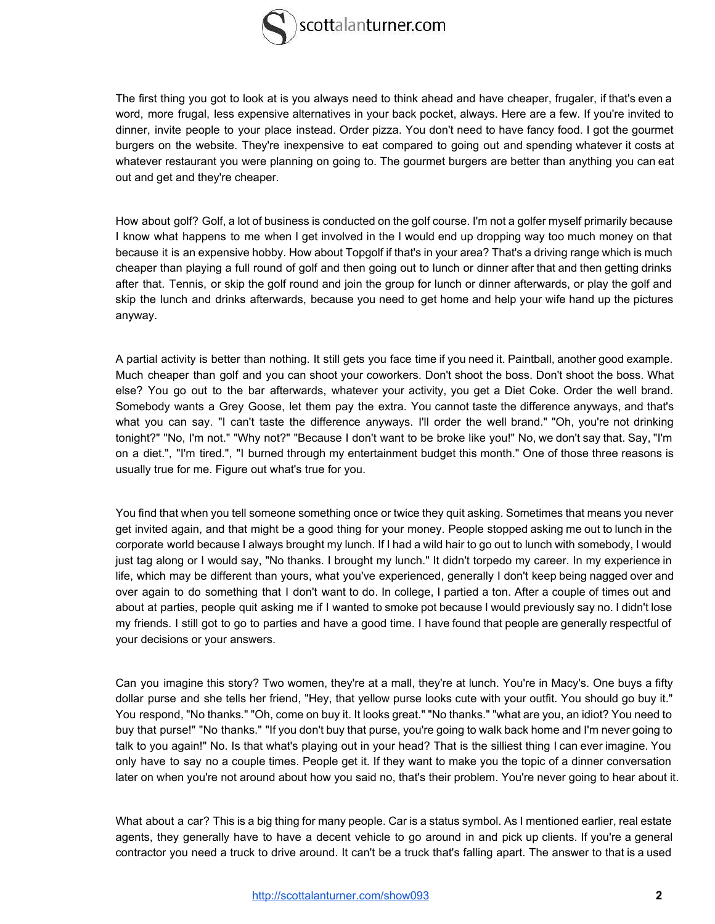

The first thing you got to look at is you always need to think ahead and have cheaper, frugaler, if that's even a word, more frugal, less expensive alternatives in your back pocket, always. Here are a few. If you're invited to dinner, invite people to your place instead. Order pizza. You don't need to have fancy food. I got the gourmet burgers on the website. They're inexpensive to eat compared to going out and spending whatever it costs at whatever restaurant you were planning on going to. The gourmet burgers are better than anything you can eat out and get and they're cheaper.

How about golf? Golf, a lot of business is conducted on the golf course. I'm not a golfer myself primarily because I know what happens to me when I get involved in the I would end up dropping way too much money on that because it is an expensive hobby. How about Topgolf if that's in your area? That's a driving range which is much cheaper than playing a full round of golf and then going out to lunch or dinner after that and then getting drinks after that. Tennis, or skip the golf round and join the group for lunch or dinner afterwards, or play the golf and skip the lunch and drinks afterwards, because you need to get home and help your wife hand up the pictures anyway.

A partial activity is better than nothing. It still gets you face time if you need it. Paintball, another good example. Much cheaper than golf and you can shoot your coworkers. Don't shoot the boss. Don't shoot the boss. What else? You go out to the bar afterwards, whatever your activity, you get a Diet Coke. Order the well brand. Somebody wants a Grey Goose, let them pay the extra. You cannot taste the difference anyways, and that's what you can say. "I can't taste the difference anyways. I'll order the well brand." "Oh, you're not drinking tonight?" "No, I'm not." "Why not?" "Because I don't want to be broke like you!" No, we don't say that. Say, "I'm on a diet.", "I'm tired.", "I burned through my entertainment budget this month." One of those three reasons is usually true for me. Figure out what's true for you.

You find that when you tell someone something once or twice they quit asking. Sometimes that means you never get invited again, and that might be a good thing for your money. People stopped asking me out to lunch in the corporate world because I always brought my lunch. If I had a wild hair to go out to lunch with somebody, I would just tag along or I would say, "No thanks. I brought my lunch." It didn't torpedo my career. In my experience in life, which may be different than yours, what you've experienced, generally I don't keep being nagged over and over again to do something that I don't want to do. In college, I partied a ton. After a couple of times out and about at parties, people quit asking me if I wanted to smoke pot because I would previously say no. I didn't lose my friends. I still got to go to parties and have a good time. I have found that people are generally respectful of your decisions or your answers.

Can you imagine this story? Two women, they're at a mall, they're at lunch. You're in Macy's. One buys a fifty dollar purse and she tells her friend, "Hey, that yellow purse looks cute with your outfit. You should go buy it." You respond, "No thanks." "Oh, come on buy it. It looks great." "No thanks." "what are you, an idiot? You need to buy that purse!" "No thanks." "If you don't buy that purse, you're going to walk back home and I'm never going to talk to you again!" No. Is that what's playing out in your head? That is the silliest thing I can ever imagine. You only have to say no a couple times. People get it. If they want to make you the topic of a dinner conversation later on when you're not around about how you said no, that's their problem. You're never going to hear about it.

What about a car? This is a big thing for many people. Car is a status symbol. As I mentioned earlier, real estate agents, they generally have to have a decent vehicle to go around in and pick up clients. If you're a general contractor you need a truck to drive around. It can't be a truck that's falling apart. The answer to that is a used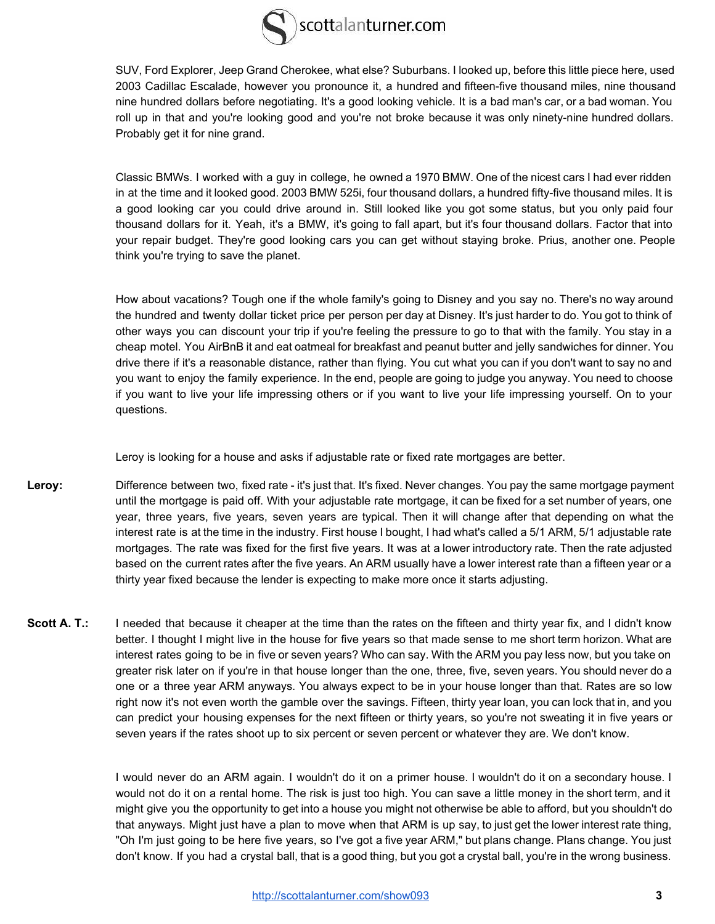

SUV, Ford Explorer, Jeep Grand Cherokee, what else? Suburbans. I looked up, before this little piece here, used 2003 Cadillac Escalade, however you pronounce it, a hundred and fifteen-five thousand miles, nine thousand nine hundred dollars before negotiating. It's a good looking vehicle. It is a bad man's car, or a bad woman. You roll up in that and you're looking good and you're not broke because it was only ninety-nine hundred dollars. Probably get it for nine grand.

 Classic BMWs. I worked with a guy in college, he owned a 1970 BMW. One of the nicest cars I had ever ridden in at the time and it looked good. 2003 BMW 525i, four thousand dollars, a hundred fifty-five thousand miles. It is a good looking car you could drive around in. Still looked like you got some status, but you only paid four thousand dollars for it. Yeah, it's a BMW, it's going to fall apart, but it's four thousand dollars. Factor that into your repair budget. They're good looking cars you can get without staying broke. Prius, another one. People think you're trying to save the planet.

How about vacations? Tough one if the whole family's going to Disney and you say no. There's no way around the hundred and twenty dollar ticket price per person per day at Disney. It's just harder to do. You got to think of other ways you can discount your trip if you're feeling the pressure to go to that with the family. You stay in a cheap motel. You AirBnB it and eat oatmeal for breakfast and peanut butter and jelly sandwiches for dinner. You drive there if it's a reasonable distance, rather than flying. You cut what you can if you don't want to say no and you want to enjoy the family experience. In the end, people are going to judge you anyway. You need to choose if you want to live your life impressing others or if you want to live your life impressing yourself. On to your questions.

Leroy is looking for a house and asks if adjustable rate or fixed rate mortgages are better.

- Leroy: Difference between two, fixed rate it's just that. It's fixed. Never changes. You pay the same mortgage payment until the mortgage is paid off. With your adjustable rate mortgage, it can be fixed for a set number of years, one year, three years, five years, seven years are typical. Then it will change after that depending on what the interest rate is at the time in the industry. First house I bought, I had what's called a 5/1 ARM, 5/1 adjustable rate mortgages. The rate was fixed for the first five years. It was at a lower introductory rate. Then the rate adjusted based on the current rates after the five years. An ARM usually have a lower interest rate than a fifteen year or a thirty year fixed because the lender is expecting to make more once it starts adjusting.
- **Scott A. T.:** I needed that because it cheaper at the time than the rates on the fifteen and thirty year fix, and I didn't know better. I thought I might live in the house for five years so that made sense to me short term horizon. What are interest rates going to be in five or seven years? Who can say. With the ARM you pay less now, but you take on greater risk later on if you're in that house longer than the one, three, five, seven years. You should never do a one or a three year ARM anyways. You always expect to be in your house longer than that. Rates are so low right now it's not even worth the gamble over the savings. Fifteen, thirty year loan, you can lock that in, and you can predict your housing expenses for the next fifteen or thirty years, so you're not sweating it in five years or seven years if the rates shoot up to six percent or seven percent or whatever they are. We don't know.

I would never do an ARM again. I wouldn't do it on a primer house. I wouldn't do it on a secondary house. I would not do it on a rental home. The risk is just too high. You can save a little money in the short term, and it might give you the opportunity to get into a house you might not otherwise be able to afford, but you shouldn't do that anyways. Might just have a plan to move when that ARM is up say, to just get the lower interest rate thing, "Oh I'm just going to be here five years, so I've got a five year ARM," but plans change. Plans change. You just don't know. If you had a crystal ball, that is a good thing, but you got a crystal ball, you're in the wrong business.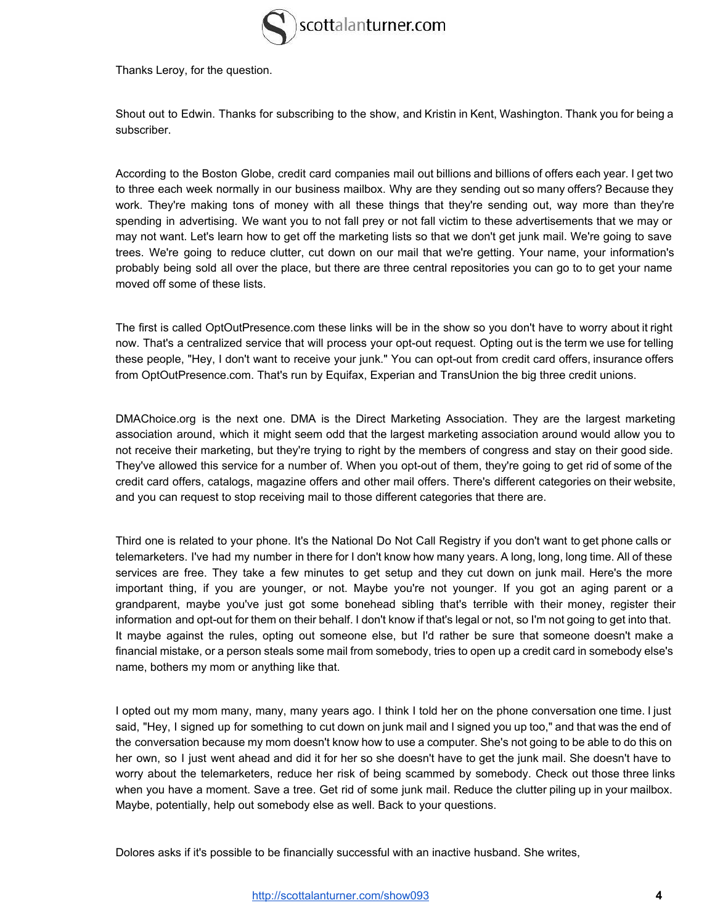

Thanks Leroy, for the question.

Shout out to Edwin. Thanks for subscribing to the show, and Kristin in Kent, Washington. Thank you for being a subscriber.

According to the Boston Globe, credit card companies mail out billions and billions of offers each year. I get two to three each week normally in our business mailbox. Why are they sending out so many offers? Because they work. They're making tons of money with all these things that they're sending out, way more than they're spending in advertising. We want you to not fall prey or not fall victim to these advertisements that we may or may not want. Let's learn how to get off the marketing lists so that we don't get junk mail. We're going to save trees. We're going to reduce clutter, cut down on our mail that we're getting. Your name, your information's probably being sold all over the place, but there are three central repositories you can go to to get your name moved off some of these lists.

The first is called OptOutPresence.com these links will be in the show so you don't have to worry about it right now. That's a centralized service that will process your opt-out request. Opting out is the term we use for telling these people, "Hey, I don't want to receive your junk." You can opt-out from credit card offers, insurance offers from OptOutPresence.com. That's run by Equifax, Experian and TransUnion the big three credit unions.

DMAChoice.org is the next one. DMA is the Direct Marketing Association. They are the largest marketing association around, which it might seem odd that the largest marketing association around would allow you to not receive their marketing, but they're trying to right by the members of congress and stay on their good side. They've allowed this service for a number of. When you opt-out of them, they're going to get rid of some of the credit card offers, catalogs, magazine offers and other mail offers. There's different categories on their website, and you can request to stop receiving mail to those different categories that there are.

Third one is related to your phone. It's the National Do Not Call Registry if you don't want to get phone calls or telemarketers. I've had my number in there for I don't know how many years. A long, long, long time. All of these services are free. They take a few minutes to get setup and they cut down on junk mail. Here's the more important thing, if you are younger, or not. Maybe you're not younger. If you got an aging parent or a grandparent, maybe you've just got some bonehead sibling that's terrible with their money, register their information and opt-out for them on their behalf. I don't know if that's legal or not, so I'm not going to get into that. It maybe against the rules, opting out someone else, but I'd rather be sure that someone doesn't make a financial mistake, or a person steals some mail from somebody, tries to open up a credit card in somebody else's name, bothers my mom or anything like that.

I opted out my mom many, many, many years ago. I think I told her on the phone conversation one time. I just said, "Hey, I signed up for something to cut down on junk mail and I signed you up too," and that was the end of the conversation because my mom doesn't know how to use a computer. She's not going to be able to do this on her own, so I just went ahead and did it for her so she doesn't have to get the junk mail. She doesn't have to worry about the telemarketers, reduce her risk of being scammed by somebody. Check out those three links when you have a moment. Save a tree. Get rid of some junk mail. Reduce the clutter piling up in your mailbox. Maybe, potentially, help out somebody else as well. Back to your questions.

Dolores asks if it's possible to be financially successful with an inactive husband. She writes,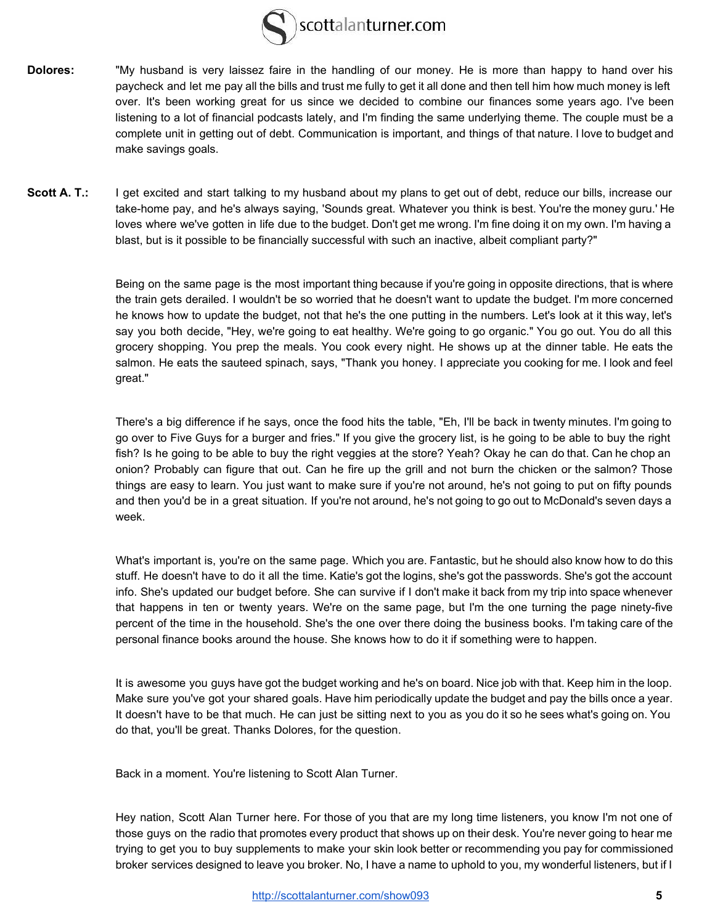

- **Dolores:** "My husband is very laissez faire in the handling of our money. He is more than happy to hand over his paycheck and let me pay all the bills and trust me fully to get it all done and then tell him how much money is left over. It's been working great for us since we decided to combine our finances some years ago. I've been listening to a lot of financial podcasts lately, and I'm finding the same underlying theme. The couple must be a complete unit in getting out of debt. Communication is important, and things of that nature. I love to budget and make savings goals.
- Scott A. T.: I get excited and start talking to my husband about my plans to get out of debt, reduce our bills, increase our take-home pay, and he's always saying, 'Sounds great. Whatever you think is best. You're the money guru.' He loves where we've gotten in life due to the budget. Don't get me wrong. I'm fine doing it on my own. I'm having a blast, but is it possible to be financially successful with such an inactive, albeit compliant party?"

Being on the same page is the most important thing because if you're going in opposite directions, that is where the train gets derailed. I wouldn't be so worried that he doesn't want to update the budget. I'm more concerned he knows how to update the budget, not that he's the one putting in the numbers. Let's look at it this way, let's say you both decide, "Hey, we're going to eat healthy. We're going to go organic." You go out. You do all this grocery shopping. You prep the meals. You cook every night. He shows up at the dinner table. He eats the salmon. He eats the sauteed spinach, says, "Thank you honey. I appreciate you cooking for me. I look and feel great."

There's a big difference if he says, once the food hits the table, "Eh, I'll be back in twenty minutes. I'm going to go over to Five Guys for a burger and fries." If you give the grocery list, is he going to be able to buy the right fish? Is he going to be able to buy the right veggies at the store? Yeah? Okay he can do that. Can he chop an onion? Probably can figure that out. Can he fire up the grill and not burn the chicken or the salmon? Those things are easy to learn. You just want to make sure if you're not around, he's not going to put on fifty pounds and then you'd be in a great situation. If you're not around, he's not going to go out to McDonald's seven days a week.

What's important is, you're on the same page. Which you are. Fantastic, but he should also know how to do this stuff. He doesn't have to do it all the time. Katie's got the logins, she's got the passwords. She's got the account info. She's updated our budget before. She can survive if I don't make it back from my trip into space whenever that happens in ten or twenty years. We're on the same page, but I'm the one turning the page ninety-five percent of the time in the household. She's the one over there doing the business books. I'm taking care of the personal finance books around the house. She knows how to do it if something were to happen.

It is awesome you guys have got the budget working and he's on board. Nice job with that. Keep him in the loop. Make sure you've got your shared goals. Have him periodically update the budget and pay the bills once a year. It doesn't have to be that much. He can just be sitting next to you as you do it so he sees what's going on. You do that, you'll be great. Thanks Dolores, for the question.

Back in a moment. You're listening to Scott Alan Turner.

Hey nation, Scott Alan Turner here. For those of you that are my long time listeners, you know I'm not one of those guys on the radio that promotes every product that shows up on their desk. You're never going to hear me trying to get you to buy supplements to make your skin look better or recommending you pay for commissioned broker services designed to leave you broker. No, I have a name to uphold to you, my wonderful listeners, but if I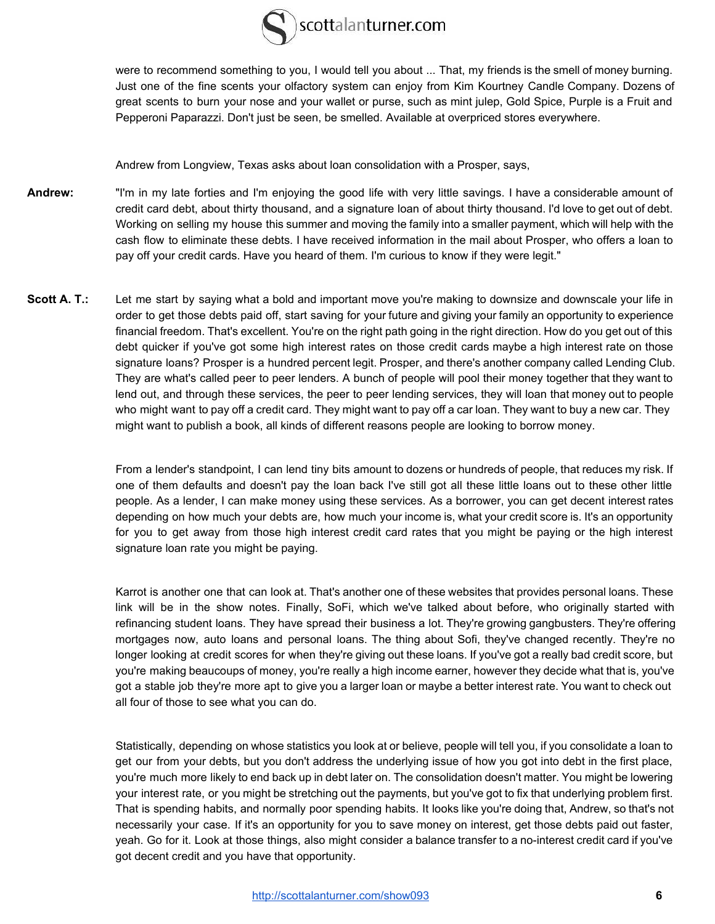

were to recommend something to you, I would tell you about ... That, my friends is the smell of money burning. Just one of the fine scents your olfactory system can enjoy from Kim Kourtney Candle Company. Dozens of great scents to burn your nose and your wallet or purse, such as mint julep, Gold Spice, Purple is a Fruit and Pepperoni Paparazzi. Don't just be seen, be smelled. Available at overpriced stores everywhere.

Andrew from Longview, Texas asks about loan consolidation with a Prosper, says,

- Andrew: "I'm in my late forties and I'm enjoying the good life with very little savings. I have a considerable amount of credit card debt, about thirty thousand, and a signature loan of about thirty thousand. I'd love to get out of debt. Working on selling my house this summer and moving the family into a smaller payment, which will help with the cash flow to eliminate these debts. I have received information in the mail about Prosper, who offers a loan to pay off your credit cards. Have you heard of them. I'm curious to know if they were legit."
- **Scott A. T.:** Let me start by saying what a bold and important move you're making to downsize and downscale your life in order to get those debts paid off, start saving for your future and giving your family an opportunity to experience financial freedom. That's excellent. You're on the right path going in the right direction. How do you get out of this debt quicker if you've got some high interest rates on those credit cards maybe a high interest rate on those signature loans? Prosper is a hundred percent legit. Prosper, and there's another company called Lending Club. They are what's called peer to peer lenders. A bunch of people will pool their money together that they want to lend out, and through these services, the peer to peer lending services, they will loan that money out to people who might want to pay off a credit card. They might want to pay off a car loan. They want to buy a new car. They might want to publish a book, all kinds of different reasons people are looking to borrow money.

From a lender's standpoint, I can lend tiny bits amount to dozens or hundreds of people, that reduces my risk. If one of them defaults and doesn't pay the loan back I've still got all these little loans out to these other little people. As a lender, I can make money using these services. As a borrower, you can get decent interest rates depending on how much your debts are, how much your income is, what your credit score is. It's an opportunity for you to get away from those high interest credit card rates that you might be paying or the high interest signature loan rate you might be paying.

Karrot is another one that can look at. That's another one of these websites that provides personal loans. These link will be in the show notes. Finally, SoFi, which we've talked about before, who originally started with refinancing student loans. They have spread their business a lot. They're growing gangbusters. They're offering mortgages now, auto loans and personal loans. The thing about Sofi, they've changed recently. They're no longer looking at credit scores for when they're giving out these loans. If you've got a really bad credit score, but you're making beaucoups of money, you're really a high income earner, however they decide what that is, you've got a stable job they're more apt to give you a larger loan or maybe a better interest rate. You want to check out all four of those to see what you can do.

Statistically, depending on whose statistics you look at or believe, people will tell you, if you consolidate a loan to get our from your debts, but you don't address the underlying issue of how you got into debt in the first place, you're much more likely to end back up in debt later on. The consolidation doesn't matter. You might be lowering your interest rate, or you might be stretching out the payments, but you've got to fix that underlying problem first. That is spending habits, and normally poor spending habits. It looks like you're doing that, Andrew, so that's not necessarily your case. If it's an opportunity for you to save money on interest, get those debts paid out faster, yeah. Go for it. Look at those things, also might consider a balance transfer to a no-interest credit card if you've got decent credit and you have that opportunity.